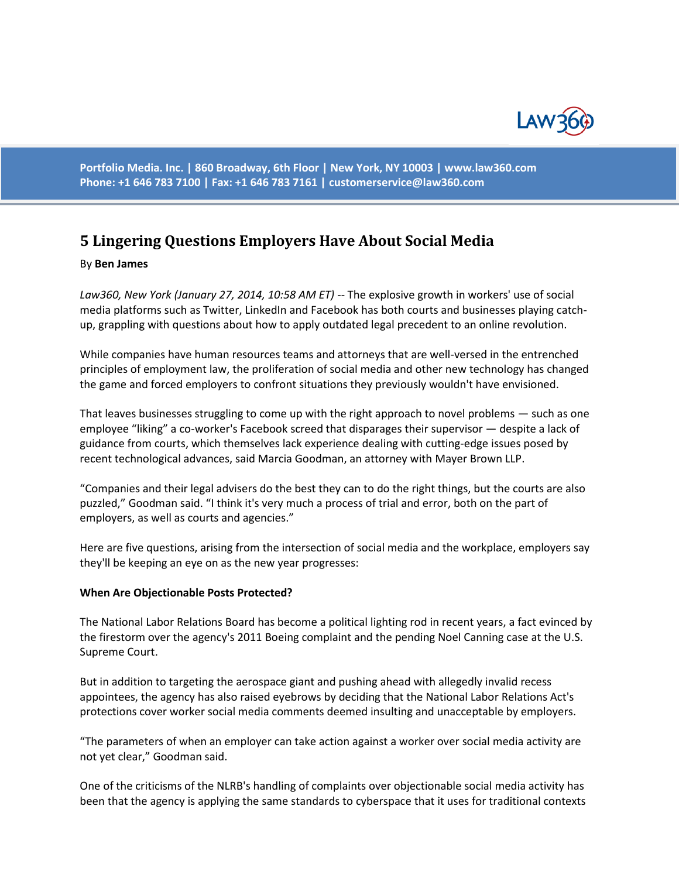

**Portfolio Media. Inc. | 860 Broadway, 6th Floor | New York, NY 10003 | www.law360.com Phone: +1 646 783 7100 | Fax: +1 646 783 7161 | [customerservice@law360.com](mailto:customerservice@law360.com)**

# **5 Lingering Questions Employers Have About Social Media**

#### By **Ben James**

*Law360, New York (January 27, 2014, 10:58 AM ET)* -- The explosive growth in workers' use of social media platforms such as Twitter, LinkedIn and Facebook has both courts and businesses playing catchup, grappling with questions about how to apply outdated legal precedent to an online revolution.

While companies have human resources teams and attorneys that are well-versed in the entrenched principles of employment law, the proliferation of social media and other new technology has changed the game and forced employers to confront situations they previously wouldn't have envisioned.

That leaves businesses struggling to come up with the right approach to novel problems — such as one employee "liking" a co-worker's Facebook screed that disparages their supervisor — despite a lack of guidance from courts, which themselves lack experience dealing with cutting-edge issues posed by recent technological advances, said Marcia Goodman, an attorney with Mayer Brown LLP.

"Companies and their legal advisers do the best they can to do the right things, but the courts are also puzzled," Goodman said. "I think it's very much a process of trial and error, both on the part of employers, as well as courts and agencies."

Here are five questions, arising from the intersection of social media and the workplace, employers say they'll be keeping an eye on as the new year progresses:

#### **When Are Objectionable Posts Protected?**

The National Labor Relations Board has become a political lighting rod in recent years, a fact evinced by the firestorm over the agency's 2011 Boeing complaint and the pending Noel Canning case at the U.S. Supreme Court.

But in addition to targeting the aerospace giant and pushing ahead with allegedly invalid recess appointees, the agency has also raised eyebrows by deciding that the National Labor Relations Act's protections cover worker social media comments deemed insulting and unacceptable by employers.

"The parameters of when an employer can take action against a worker over social media activity are not yet clear," Goodman said.

One of the criticisms of the NLRB's handling of complaints over objectionable social media activity has been that the agency is applying the same standards to cyberspace that it uses for traditional contexts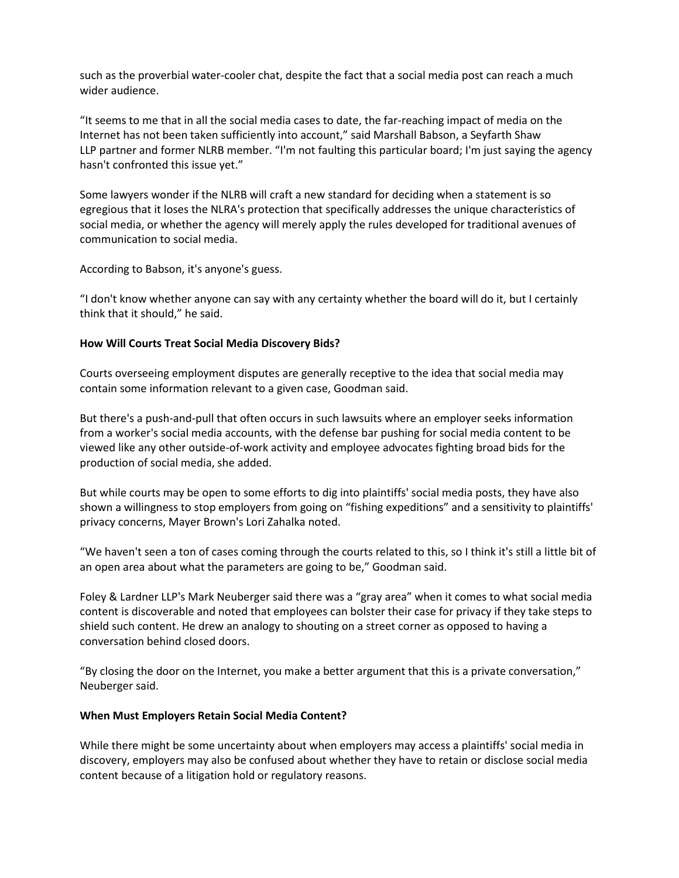such as the proverbial water-cooler chat, despite the fact that a social media post can reach a much wider audience.

"It seems to me that in all the social media cases to date, the far-reaching impact of media on the Internet has not been taken sufficiently into account," said Marshall Babson, a Seyfarth Shaw LLP partner and former NLRB member. "I'm not faulting this particular board; I'm just saying the agency hasn't confronted this issue yet."

Some lawyers wonder if the NLRB will craft a new standard for deciding when a statement is so egregious that it loses the NLRA's protection that specifically addresses the unique characteristics of social media, or whether the agency will merely apply the rules developed for traditional avenues of communication to social media.

According to Babson, it's anyone's guess.

"I don't know whether anyone can say with any certainty whether the board will do it, but I certainly think that it should," he said.

## **How Will Courts Treat Social Media Discovery Bids?**

Courts overseeing employment disputes are generally receptive to the idea that social media may contain some information relevant to a given case, Goodman said.

But there's a push-and-pull that often occurs in such lawsuits where an employer seeks information from a worker's social media accounts, with the defense bar pushing for social media content to be viewed like any other outside-of-work activity and employee advocates fighting broad bids for the production of social media, she added.

But while courts may be open to some efforts to dig into plaintiffs' social media posts, they have also shown a willingness to stop employers from going on "fishing expeditions" and a sensitivity to plaintiffs' privacy concerns, Mayer Brown's Lori Zahalka noted.

"We haven't seen a ton of cases coming through the courts related to this, so I think it's still a little bit of an open area about what the parameters are going to be," Goodman said.

Foley & Lardner LLP's Mark Neuberger said there was a "gray area" when it comes to what social media content is discoverable and noted that employees can bolster their case for privacy if they take steps to shield such content. He drew an analogy to shouting on a street corner as opposed to having a conversation behind closed doors.

"By closing the door on the Internet, you make a better argument that this is a private conversation," Neuberger said.

#### **When Must Employers Retain Social Media Content?**

While there might be some uncertainty about when employers may access a plaintiffs' social media in discovery, employers may also be confused about whether they have to retain or disclose social media content because of a litigation hold or regulatory reasons.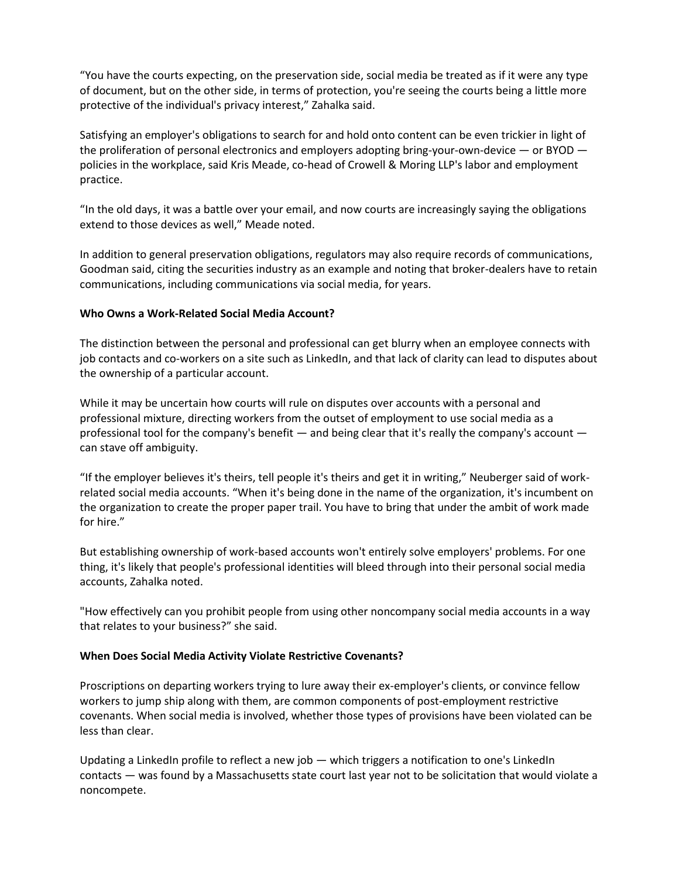"You have the courts expecting, on the preservation side, social media be treated as if it were any type of document, but on the other side, in terms of protection, you're seeing the courts being a little more protective of the individual's privacy interest," Zahalka said.

Satisfying an employer's obligations to search for and hold onto content can be even trickier in light of the proliferation of personal electronics and employers adopting bring-your-own-device — or BYOD policies in the workplace, said Kris Meade, co-head of Crowell & Moring LLP's labor and employment practice.

"In the old days, it was a battle over your email, and now courts are increasingly saying the obligations extend to those devices as well," Meade noted.

In addition to general preservation obligations, regulators may also require records of communications, Goodman said, citing the securities industry as an example and noting that broker-dealers have to retain communications, including communications via social media, for years.

## **Who Owns a Work-Related Social Media Account?**

The distinction between the personal and professional can get blurry when an employee connects with job contacts and co-workers on a site such as LinkedIn, and that lack of clarity can lead to disputes about the ownership of a particular account.

While it may be uncertain how courts will rule on disputes over accounts with a personal and professional mixture, directing workers from the outset of employment to use social media as a professional tool for the company's benefit — and being clear that it's really the company's account can stave off ambiguity.

"If the employer believes it's theirs, tell people it's theirs and get it in writing," Neuberger said of workrelated social media accounts. "When it's being done in the name of the organization, it's incumbent on the organization to create the proper paper trail. You have to bring that under the ambit of work made for hire."

But establishing ownership of work-based accounts won't entirely solve employers' problems. For one thing, it's likely that people's professional identities will bleed through into their personal social media accounts, Zahalka noted.

"How effectively can you prohibit people from using other noncompany social media accounts in a way that relates to your business?" she said.

## **When Does Social Media Activity Violate Restrictive Covenants?**

Proscriptions on departing workers trying to lure away their ex-employer's clients, or convince fellow workers to jump ship along with them, are common components of post-employment restrictive covenants. When social media is involved, whether those types of provisions have been violated can be less than clear.

Updating a LinkedIn profile to reflect a new job — which triggers a notification to one's LinkedIn contacts — was found by a Massachusetts state court last year not to be solicitation that would violate a noncompete.